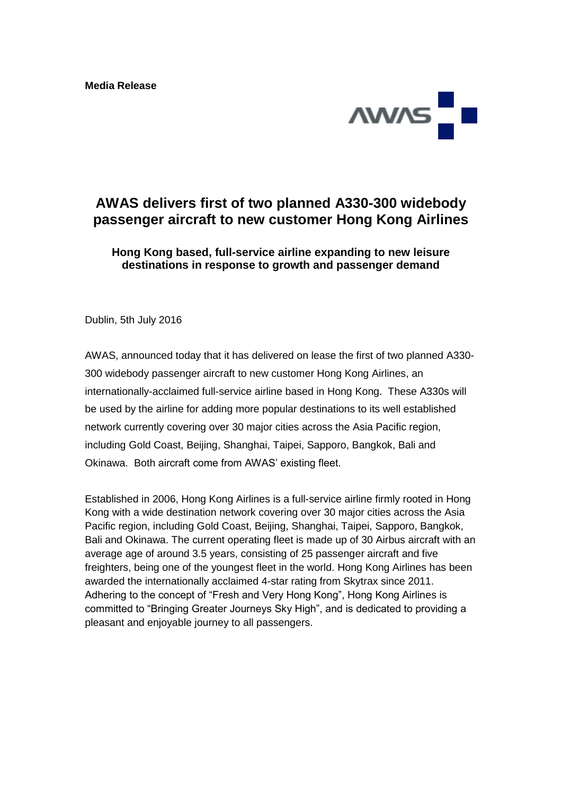

## **AWAS delivers first of two planned A330-300 widebody passenger aircraft to new customer Hong Kong Airlines**

## **Hong Kong based, full-service airline expanding to new leisure destinations in response to growth and passenger demand**

Dublin, 5th July 2016

AWAS, announced today that it has delivered on lease the first of two planned A330- 300 widebody passenger aircraft to new customer Hong Kong Airlines, an internationally-acclaimed full-service airline based in Hong Kong. These A330s will be used by the airline for adding more popular destinations to its well established network currently covering over 30 major cities across the Asia Pacific region, including Gold Coast, Beijing, Shanghai, Taipei, Sapporo, Bangkok, Bali and Okinawa. Both aircraft come from AWAS' existing fleet.

Established in 2006, Hong Kong Airlines is a full-service airline firmly rooted in Hong Kong with a wide destination network covering over 30 major cities across the Asia Pacific region, including Gold Coast, Beijing, Shanghai, Taipei, Sapporo, Bangkok, Bali and Okinawa. The current operating fleet is made up of 30 Airbus aircraft with an average age of around 3.5 years, consisting of 25 passenger aircraft and five freighters, being one of the youngest fleet in the world. Hong Kong Airlines has been awarded the internationally acclaimed 4-star rating from Skytrax since 2011. Adhering to the concept of "Fresh and Very Hong Kong", Hong Kong Airlines is committed to "Bringing Greater Journeys Sky High", and is dedicated to providing a pleasant and enjoyable journey to all passengers.